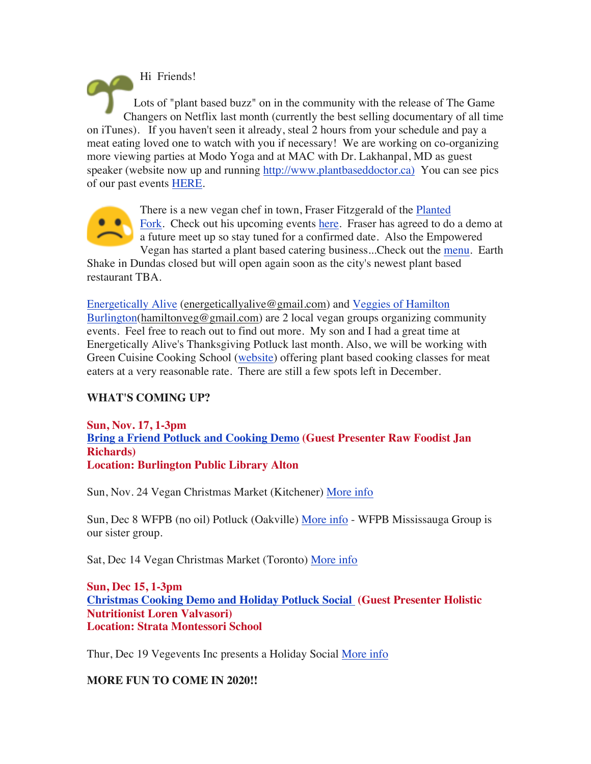Hi Friends! Lots of "plant based buzz" on in the community with the release of The Game Changers on Netflix last month (currently the best selling documentary of all time on iTunes). If you haven't seen it already, steal 2 hours from your schedule and pay a meat eating loved one to watch with you if necessary! We are working on co-organizing more viewing parties at Modo Yoga and at MAC with Dr. Lakhanpal, MD as guest speaker (website now up and running http://www.plantbaseddoctor.ca) You can see pics of our past events HERE.



There is a new vegan chef in town, Fraser Fitzgerald of the Planted **Fork.** Check out his upcoming events here. Fraser has agreed to do a demo at a future meet up so stay tuned for a confirmed date. Also the Empowered Vegan has started a plant based catering business...Check out the menu. Earth

Shake in Dundas closed but will open again soon as the city's newest plant based restaurant TBA.

Energetically Alive (energeticallyalive@gmail.com) and Veggies of Hamilton Burlington(hamiltonveg@gmail.com) are 2 local vegan groups organizing community events. Feel free to reach out to find out more. My son and I had a great time at Energetically Alive's Thanksgiving Potluck last month. Also, we will be working with Green Cuisine Cooking School (website) offering plant based cooking classes for meat eaters at a very reasonable rate. There are still a few spots left in December.

## **WHAT'S COMING UP?**

**Sun, Nov. 17, 1-3pm Bring a Friend Potluck and Cooking Demo (Guest Presenter Raw Foodist Jan Richards) Location: Burlington Public Library Alton**

Sun, Nov. 24 Vegan Christmas Market (Kitchener) More info

Sun, Dec 8 WFPB (no oil) Potluck (Oakville) More info - WFPB Mississauga Group is our sister group.

Sat, Dec 14 Vegan Christmas Market (Toronto) More info

**Sun, Dec 15, 1-3pm Christmas Cooking Demo and Holiday Potluck Social (Guest Presenter Holistic Nutritionist Loren Valvasori) Location: Strata Montessori School**

Thur, Dec 19 Vegevents Inc presents a Holiday Social More info

## **MORE FUN TO COME IN 2020!!**